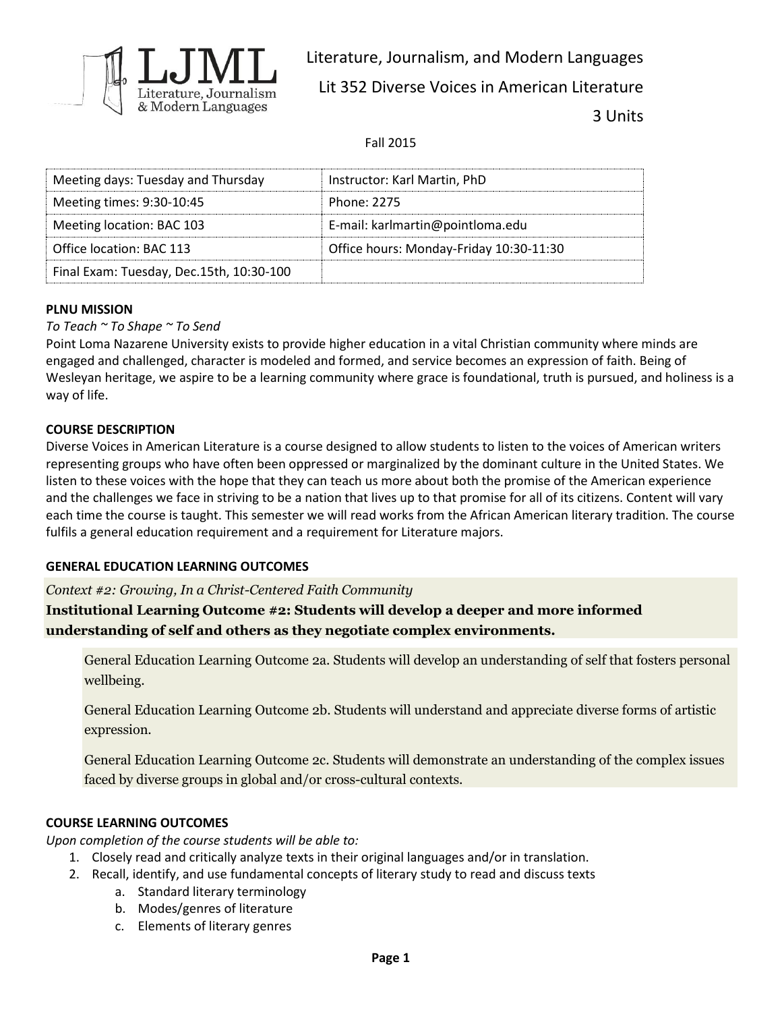

Literature, Journalism, and Modern Languages Lit 352 Diverse Voices in American Literature

3 Units

Fall 2015

| Meeting days: Tuesday and Thursday       | Instructor: Karl Martin, PhD            |
|------------------------------------------|-----------------------------------------|
| Meeting times: 9:30-10:45                | Phone: 2275                             |
| Meeting location: BAC 103                | E-mail: karlmartin@pointloma.edu        |
| Office location: BAC 113                 | Office hours: Monday-Friday 10:30-11:30 |
| Final Exam: Tuesday, Dec.15th, 10:30-100 |                                         |

# **PLNU MISSION**

# *To Teach ~ To Shape ~ To Send*

Point Loma Nazarene University exists to provide higher education in a vital Christian community where minds are engaged and challenged, character is modeled and formed, and service becomes an expression of faith. Being of Wesleyan heritage, we aspire to be a learning community where grace is foundational, truth is pursued, and holiness is a way of life.

## **COURSE DESCRIPTION**

Diverse Voices in American Literature is a course designed to allow students to listen to the voices of American writers representing groups who have often been oppressed or marginalized by the dominant culture in the United States. We listen to these voices with the hope that they can teach us more about both the promise of the American experience and the challenges we face in striving to be a nation that lives up to that promise for all of its citizens. Content will vary each time the course is taught. This semester we will read works from the African American literary tradition. The course fulfils a general education requirement and a requirement for Literature majors.

## **GENERAL EDUCATION LEARNING OUTCOMES**

## *Context #2: Growing, In a Christ-Centered Faith Community*

**Institutional Learning Outcome #2: Students will develop a deeper and more informed understanding of self and others as they negotiate complex environments.**

General Education Learning Outcome 2a. Students will develop an understanding of self that fosters personal wellbeing.

General Education Learning Outcome 2b. Students will understand and appreciate diverse forms of artistic expression.

General Education Learning Outcome 2c. Students will demonstrate an understanding of the complex issues faced by diverse groups in global and/or cross-cultural contexts.

## **COURSE LEARNING OUTCOMES**

*Upon completion of the course students will be able to:*

- 1. Closely read and critically analyze texts in their original languages and/or in translation.
- 2. Recall, identify, and use fundamental concepts of literary study to read and discuss texts
	- a. Standard literary terminology
	- b. Modes/genres of literature
	- c. Elements of literary genres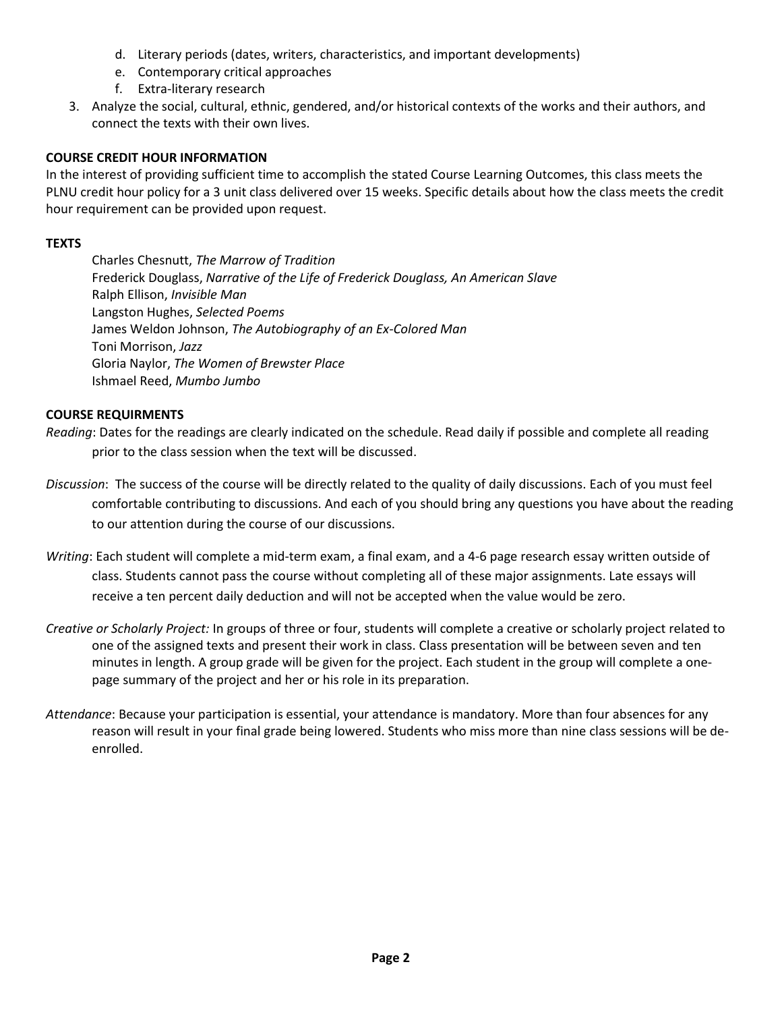- d. Literary periods (dates, writers, characteristics, and important developments)
- e. Contemporary critical approaches
- f. Extra-literary research
- 3. Analyze the social, cultural, ethnic, gendered, and/or historical contexts of the works and their authors, and connect the texts with their own lives.

## **COURSE CREDIT HOUR INFORMATION**

In the interest of providing sufficient time to accomplish the stated Course Learning Outcomes, this class meets the PLNU credit hour policy for a 3 unit class delivered over 15 weeks. Specific details about how the class meets the credit hour requirement can be provided upon request.

# **TEXTS**

Charles Chesnutt, *The Marrow of Tradition* Frederick Douglass, *Narrative of the Life of Frederick Douglass, An American Slave* Ralph Ellison, *Invisible Man* Langston Hughes, *Selected Poems* James Weldon Johnson, *The Autobiography of an Ex-Colored Man* Toni Morrison, *Jazz* Gloria Naylor, *The Women of Brewster Place* Ishmael Reed, *Mumbo Jumbo*

## **COURSE REQUIRMENTS**

- *Reading*: Dates for the readings are clearly indicated on the schedule. Read daily if possible and complete all reading prior to the class session when the text will be discussed.
- *Discussion*: The success of the course will be directly related to the quality of daily discussions. Each of you must feel comfortable contributing to discussions. And each of you should bring any questions you have about the reading to our attention during the course of our discussions.
- *Writing*: Each student will complete a mid-term exam, a final exam, and a 4-6 page research essay written outside of class. Students cannot pass the course without completing all of these major assignments. Late essays will receive a ten percent daily deduction and will not be accepted when the value would be zero.
- *Creative or Scholarly Project:* In groups of three or four, students will complete a creative or scholarly project related to one of the assigned texts and present their work in class. Class presentation will be between seven and ten minutes in length. A group grade will be given for the project. Each student in the group will complete a onepage summary of the project and her or his role in its preparation.
- *Attendance*: Because your participation is essential, your attendance is mandatory. More than four absences for any reason will result in your final grade being lowered. Students who miss more than nine class sessions will be deenrolled.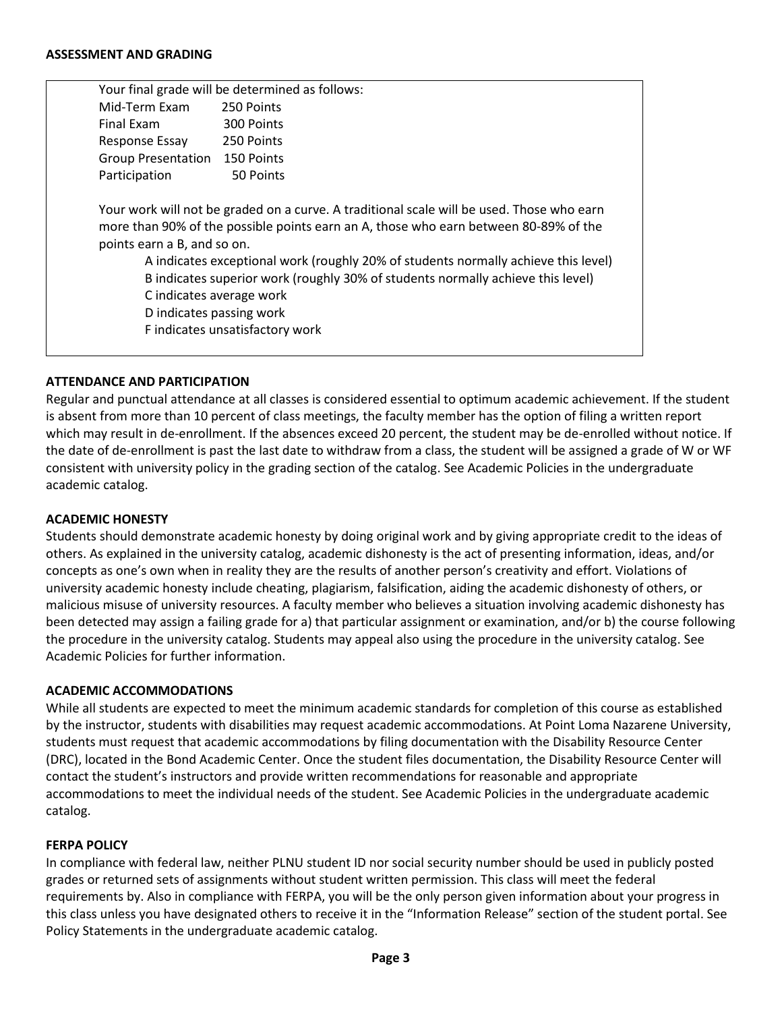#### **ASSESSMENT AND GRADING**

| Your final grade will be determined as follows:                                                                                                                                                                                                                                                                                                                                                                                                                                      |            |  |
|--------------------------------------------------------------------------------------------------------------------------------------------------------------------------------------------------------------------------------------------------------------------------------------------------------------------------------------------------------------------------------------------------------------------------------------------------------------------------------------|------------|--|
| Mid-Term Fxam                                                                                                                                                                                                                                                                                                                                                                                                                                                                        | 250 Points |  |
| Final Exam                                                                                                                                                                                                                                                                                                                                                                                                                                                                           | 300 Points |  |
| Response Essay                                                                                                                                                                                                                                                                                                                                                                                                                                                                       | 250 Points |  |
| Group Presentation 150 Points                                                                                                                                                                                                                                                                                                                                                                                                                                                        |            |  |
| Participation                                                                                                                                                                                                                                                                                                                                                                                                                                                                        | 50 Points  |  |
| Your work will not be graded on a curve. A traditional scale will be used. Those who earn<br>more than 90% of the possible points earn an A, those who earn between 80-89% of the<br>points earn a B, and so on.<br>A indicates exceptional work (roughly 20% of students normally achieve this level)<br>B indicates superior work (roughly 30% of students normally achieve this level)<br>C indicates average work<br>D indicates passing work<br>F indicates unsatisfactory work |            |  |

#### **ATTENDANCE AND PARTICIPATION**

Regular and punctual attendance at all classes is considered essential to optimum academic achievement. If the student is absent from more than 10 percent of class meetings, the faculty member has the option of filing a written report which may result in de-enrollment. If the absences exceed 20 percent, the student may be de-enrolled without notice. If the date of de-enrollment is past the last date to withdraw from a class, the student will be assigned a grade of W or WF consistent with university policy in the grading section of the catalog. See Academic Policies in the undergraduate academic catalog.

#### **ACADEMIC HONESTY**

Students should demonstrate academic honesty by doing original work and by giving appropriate credit to the ideas of others. As explained in the university catalog, academic dishonesty is the act of presenting information, ideas, and/or concepts as one's own when in reality they are the results of another person's creativity and effort. Violations of university academic honesty include cheating, plagiarism, falsification, aiding the academic dishonesty of others, or malicious misuse of university resources. A faculty member who believes a situation involving academic dishonesty has been detected may assign a failing grade for a) that particular assignment or examination, and/or b) the course following the procedure in the university catalog. Students may appeal also using the procedure in the university catalog. See Academic Policies for further information.

#### **ACADEMIC ACCOMMODATIONS**

While all students are expected to meet the minimum academic standards for completion of this course as established by the instructor, students with disabilities may request academic accommodations. At Point Loma Nazarene University, students must request that academic accommodations by filing documentation with the Disability Resource Center (DRC), located in the Bond Academic Center. Once the student files documentation, the Disability Resource Center will contact the student's instructors and provide written recommendations for reasonable and appropriate accommodations to meet the individual needs of the student. See Academic Policies in the undergraduate academic catalog.

#### **FERPA POLICY**

In compliance with federal law, neither PLNU student ID nor social security number should be used in publicly posted grades or returned sets of assignments without student written permission. This class will meet the federal requirements by. Also in compliance with FERPA, you will be the only person given information about your progress in this class unless you have designated others to receive it in the "Information Release" section of the student portal. See Policy Statements in the undergraduate academic catalog.